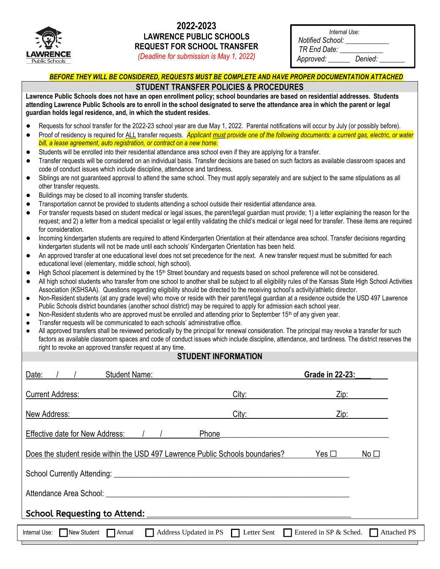

## **2022-2023 LAWRENCE PUBLIC SCHOOLS REQUEST FOR SCHOOL TRANSFER**

| Internal Use: |  |
|---------------|--|
| ified School: |  |

*(Deadline for submission is May 1, 2022)*

| <b>Notified School:</b> |         |  |
|-------------------------|---------|--|
| TR End Date:            |         |  |
| Approved:               | Denied: |  |

# *BEFORE THEY WILL BE CONSIDERED, REQUESTS MUST BE COMPLETE AND HAVE PROPER DOCUMENTATION ATTACHED*

### **STUDENT TRANSFER POLICIES & PROCEDURES**

**Lawrence Public Schools does not have an open enrollment policy; school boundaries are based on residential addresses. Students attending Lawrence Public Schools are to enroll in the school designated to serve the attendance area in which the parent or legal guardian holds legal residence, and, in which the student resides.** 

- Requests for school transfer for the 2022-23 school year are due May 1, 2022. Parental notifications will occur by July (or possibly before).
- Proof of residency is required for ALL transfer requests. **Applicant must provide one of the following documents: a current gas, electric, or water** *bill, a lease agreement, auto registration, or contract on a new home.*
- Students will be enrolled into their residential attendance area school even if they are applying for a transfer.
- Transfer requests will be considered on an individual basis. Transfer decisions are based on such factors as available classroom spaces and code of conduct issues which include discipline, attendance and tardiness.
- Siblings are not guaranteed approval to attend the same school. They must apply separately and are subject to the same stipulations as all other transfer requests.
- Buildings may be closed to all incoming transfer students.
- Transportation cannot be provided to students attending a school outside their residential attendance area.
- For transfer requests based on student medical or legal issues, the parent/legal guardian must provide; 1) a letter explaining the reason for the request; and 2) a letter from a medical specialist or legal entity validating the child's medical or legal need for transfer. These items are required for consideration.
- Incoming kindergarten students are required to attend Kindergarten Orientation at their attendance area school. Transfer decisions regarding kindergarten students will not be made until each schools' Kindergarten Orientation has been held.
- An approved transfer at one educational level does not set precedence for the next. A new transfer request must be submitted for each educational level (elementary, middle school, high school).
- High School placement is determined by the 15<sup>th</sup> Street boundary and requests based on school preference will not be considered.
- All high school students who transfer from one school to another shall be subject to all eligibility rules of the Kansas State High School Activities Association (KSHSAA). Questions regarding eligibility should be directed to the receiving school's activity/athletic director.
- Non-Resident students (at any grade level) who move or reside with their parent/legal guardian at a residence outside the USD 497 Lawrence Public Schools district boundaries (another school district) may be required to apply for admission each school year.
- Non-Resident students who are approved must be enrolled and attending prior to September 15<sup>th</sup> of any given year.
- Transfer requests will be communicated to each schools' administrative office.
- All approved transfers shall be reviewed periodically by the principal for renewal consideration. The principal may revoke a transfer for such factors as available classroom spaces and code of conduct issues which include discipline, attendance, and tardiness. The district reserves the right to revoke an approved transfer request at any time.

#### **STUDENT INFORMATION**

| Date:<br><b>Student Name:</b>                                                                                |             | <b>Grade in 22-23:</b>                       |  |  |
|--------------------------------------------------------------------------------------------------------------|-------------|----------------------------------------------|--|--|
| <b>Current Address:</b>                                                                                      | City:       | Zip:                                         |  |  |
| New Address:                                                                                                 | City:       | Zip:                                         |  |  |
| <b>Effective date for New Address:</b>                                                                       | Phone       |                                              |  |  |
| Does the student reside within the USD 497 Lawrence Public Schools boundaries?<br>Yes $\Box$<br>No $\square$ |             |                                              |  |  |
| School Currently Attending: _________                                                                        |             |                                              |  |  |
| Attendance Area School:                                                                                      |             |                                              |  |  |
| School Requesting to Attend:                                                                                 |             |                                              |  |  |
| Internal Use: New Student<br>Address Updated in PS<br>$\Box$ Annual                                          | Letter Sent | Entered in SP & Sched.<br><b>Attached PS</b> |  |  |